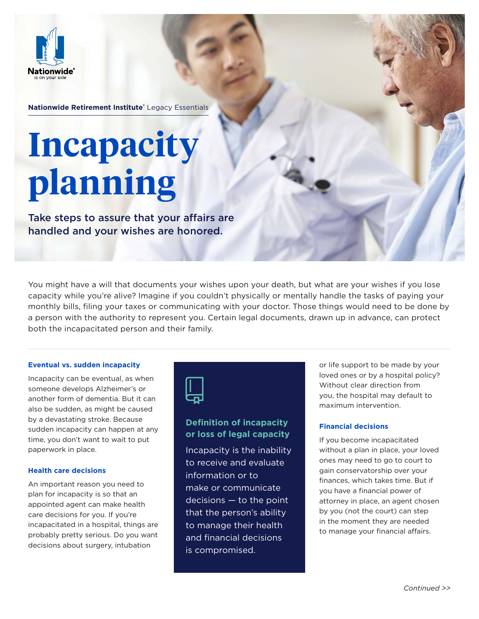

**Nationwide Retirement Institute®** Legacy Essentials

# **Incapacity planning**

Take steps to assure that your affairs are handled and your wishes are honored.

You might have a will that documents your wishes upon your death, but what are your wishes if you lose capacity while you're alive? Imagine if you couldn't physically or mentally handle the tasks of paying your monthly bills, filing your taxes or communicating with your doctor. Those things would need to be done by a person with the authority to represent you. Certain legal documents, drawn up in advance, can protect both the incapacitated person and their family.

### **Eventual vs. sudden incapacity**

Incapacity can be eventual, as when someone develops Alzheimer's or another form of dementia. But it can also be sudden, as might be caused by a devastating stroke. Because sudden incapacity can happen at any time, you don't want to wait to put paperwork in place.

### **Health care decisions**

An important reason you need to plan for incapacity is so that an appointed agent can make health care decisions for you. If you're incapacitated in a hospital, things are probably pretty serious. Do you want decisions about surgery, intubation



## **Definition of incapacity or loss of legal capacity**

Incapacity is the inability to receive and evaluate information or to make or communicate decisions — to the point that the person's ability to manage their health and financial decisions is compromised.

or life support to be made by your loved ones or by a hospital policy? Without clear direction from you, the hospital may default to maximum intervention.

## **Financial decisions**

If you become incapacitated without a plan in place, your loved ones may need to go to court to gain conservatorship over your finances, which takes time. But if you have a financial power of attorney in place, an agent chosen by you (not the court) can step in the moment they are needed to manage your financial affairs.